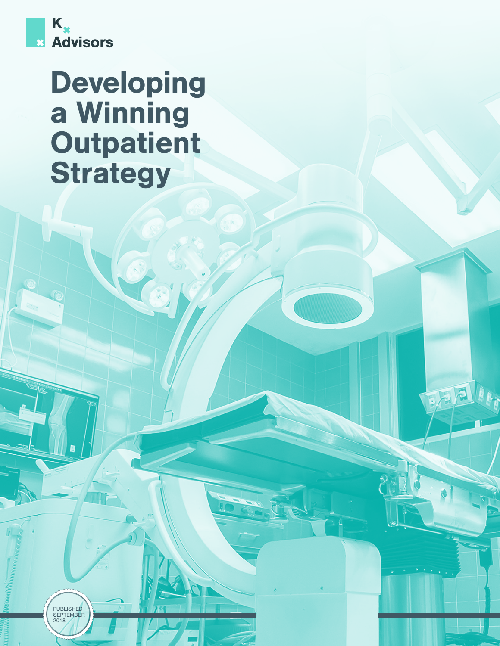

# Developing a Winning **Outpatient Strategy**

PUBLISHED<br>SEPTEMBER<br>2018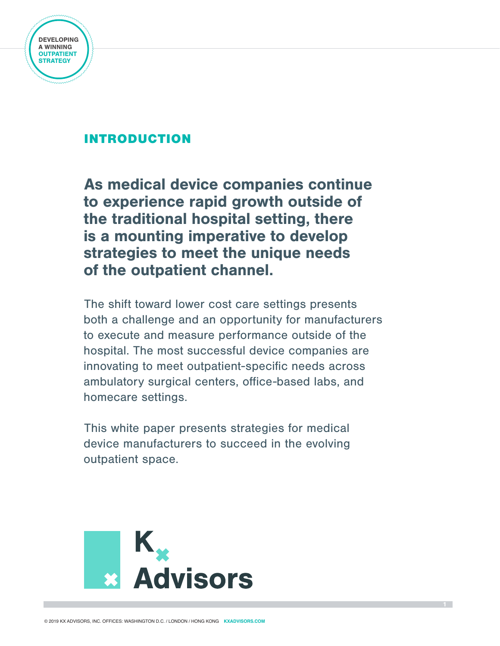

# INTRODUCTION

As medical device companies continue to experience rapid growth outside of the traditional hospital setting, there is a mounting imperative to develop strategies to meet the unique needs of the outpatient channel.

The shift toward lower cost care settings presents both a challenge and an opportunity for manufacturers to execute and measure performance outside of the hospital. The most successful device companies are innovating to meet outpatient-specific needs across ambulatory surgical centers, office-based labs, and homecare settings.

This white paper presents strategies for medical device manufacturers to succeed in the evolving outpatient space.

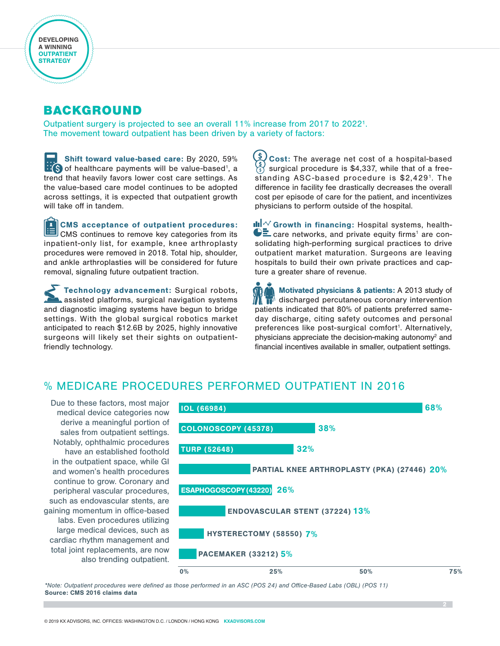## BACKGROUND

Outpatient surgery is projected to see an overall 11% increase from 2017 to 2022<sup>1</sup>. The movement toward outpatient has been driven by a variety of factors:

Shift toward value-based care: By 2020, 59% of healthcare payments will be value-based<sup>1</sup>, a trend that heavily favors lower cost care settings. As the value-based care model continues to be adopted across settings, it is expected that outpatient growth will take off in tandem.

CMS acceptance of outpatient procedures: CMS continues to remove key categories from its inpatient-only list, for example, knee arthroplasty procedures were removed in 2018. Total hip, shoulder, and ankle arthroplasties will be considered for future removal, signaling future outpatient traction.

Technology advancement: Surgical robots, assisted platforms, surgical navigation systems and diagnostic imaging systems have begun to bridge settings. With the global surgical robotics market anticipated to reach \$12.6B by 2025, highly innovative surgeons will likely set their sights on outpatientfriendly technology.

 $\frac{1}{2}$ Cost: The average net cost of a hospital-based  $\left(\begin{smallmatrix} \mathsf{s} \ \mathsf{s} \end{smallmatrix}\right)$ surgical procedure is \$4,337, while that of a freestanding ASC-based procedure is \$2,429<sup>1</sup>. The difference in facility fee drastically decreases the overall cost per episode of care for the patient, and incentivizes physicians to perform outside of the hospital.

dul $\sqrt{\ }$  Growth in financing: Hospital systems, healthcare networks, and private equity firms<sup>1</sup> are consolidating high-performing surgical practices to drive outpatient market maturation. Surgeons are leaving hospitals to build their own private practices and capture a greater share of revenue.

Motivated physicians & patients: A 2013 study of  $\lambda$  discharged percutaneous coronary intervention patients indicated that 80% of patients preferred sameday discharge, citing safety outcomes and personal preferences like post-surgical comfort<sup>1</sup>. Alternatively, physicians appreciate the decision-making autonomy<sup>2</sup> and financial incentives available in smaller, outpatient settings.

#### % MEDICARE PROCEDURES PERFORMED OUTPATIENT IN 2016

Due to these factors, most major medical device categories now derive a meaningful portion of sales from outpatient settings. Notably, ophthalmic procedures have an established foothold in the outpatient space, while GI and women's health procedures continue to grow. Coronary and peripheral vascular procedures, such as endovascular stents, are gaining momentum in office-based labs. Even procedures utilizing large medical devices, such as cardiac rhythm management and total joint replacements, are now also trending outpatient.



*\*Note: Outpatient procedures were defined as those performed in an ASC (POS 24) and Office-Based Labs (OBL) (POS 11)* Source: CMS 2016 claims data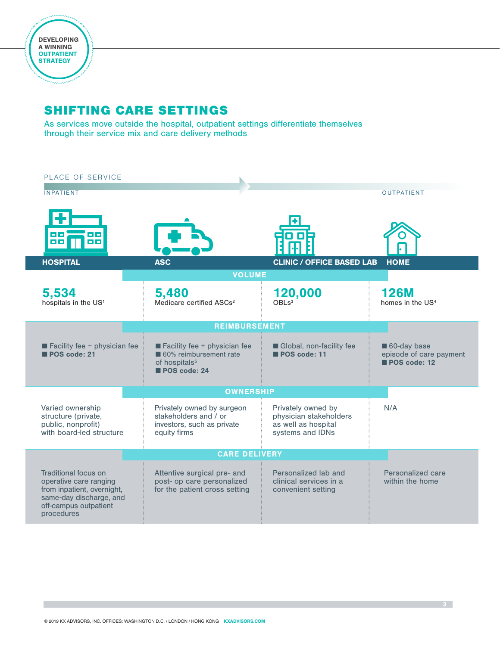

I

# SHIFTING CARE SETTINGS

As services move outside the hospital, outpatient settings differentiate themselves through their service mix and care delivery methods

| PLACE OF SERVICE<br><b>INPATIENT</b>                                                                                                           |                                                                                                                                            |                                                                                         | <b>OUTPATIENT</b>                                      |
|------------------------------------------------------------------------------------------------------------------------------------------------|--------------------------------------------------------------------------------------------------------------------------------------------|-----------------------------------------------------------------------------------------|--------------------------------------------------------|
|                                                                                                                                                |                                                                                                                                            |                                                                                         |                                                        |
| <b>HOSPITAL</b>                                                                                                                                | <b>ASC</b>                                                                                                                                 | <b>CLINIC / OFFICE BASED LAB</b>                                                        | <b>HOME</b>                                            |
| 5,534<br>hospitals in the US <sup>1</sup>                                                                                                      | <b>VOLUME</b><br>5,480<br>Medicare certified ASCs <sup>2</sup>                                                                             | 120,000                                                                                 | <b>126M</b><br>homes in the US <sup>4</sup>            |
| $\blacksquare$ Facility fee + physician fee<br>POS code: 21                                                                                    | <b>REIMBURSEMENT</b><br>$\blacksquare$ Facility fee + physician fee<br>60% reimbursement rate<br>of hospitals <sup>5</sup><br>POS code: 24 | Global, non-facility fee<br>POS code: 11                                                | 60-day base<br>episode of care payment<br>POS code: 12 |
| <b>OWNERSHIP</b>                                                                                                                               |                                                                                                                                            |                                                                                         |                                                        |
| Varied ownership<br>structure (private,<br>public, nonprofit)<br>with board-led structure                                                      | Privately owned by surgeon<br>stakeholders and / or<br>investors, such as private<br>equity firms                                          | Privately owned by<br>physician stakeholders<br>as well as hospital<br>systems and IDNs | N/A                                                    |
| <b>CARE DELIVERY</b>                                                                                                                           |                                                                                                                                            |                                                                                         |                                                        |
| Traditional focus on<br>operative care ranging<br>from inpatient, overnight,<br>same-day discharge, and<br>off-campus outpatient<br>procedures | Attentive surgical pre- and<br>post- op care personalized<br>for the patient cross setting                                                 | Personalized lab and<br>clinical services in a<br>convenient setting                    | Personalized care<br>within the home                   |

3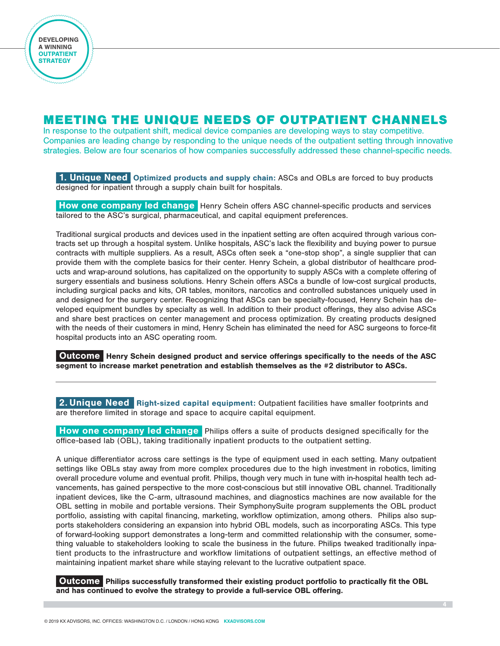### MEETING THE UNIQUE NEEDS OF OUTPATIENT CHANNELS

In response to the outpatient shift, medical device companies are developing ways to stay competitive. Companies are leading change by responding to the unique needs of the outpatient setting through innovative strategies. Below are four scenarios of how companies successfully addressed these channel-specific needs.

1. Unique Need Optimized products and supply chain: ASCs and OBLs are forced to buy products designed for inpatient through a supply chain built for hospitals.

 How one company led change Henry Schein offers ASC channel-specific products and services tailored to the ASC's surgical, pharmaceutical, and capital equipment preferences.

Traditional surgical products and devices used in the inpatient setting are often acquired through various contracts set up through a hospital system. Unlike hospitals, ASC's lack the flexibility and buying power to pursue contracts with multiple suppliers. As a result, ASCs often seek a "one-stop shop", a single supplier that can provide them with the complete basics for their center. Henry Schein, a global distributor of healthcare products and wrap-around solutions, has capitalized on the opportunity to supply ASCs with a complete offering of surgery essentials and business solutions. Henry Schein offers ASCs a bundle of low-cost surgical products, including surgical packs and kits, OR tables, monitors, narcotics and controlled substances uniquely used in and designed for the surgery center. Recognizing that ASCs can be specialty-focused, Henry Schein has developed equipment bundles by specialty as well. In addition to their product offerings, they also advise ASCs and share best practices on center management and process optimization. By creating products designed with the needs of their customers in mind, Henry Schein has eliminated the need for ASC surgeons to force-fit hospital products into an ASC operating room.

 Outcome Henry Schein designed product and service offerings specifically to the needs of the ASC segment to increase market penetration and establish themselves as the #2 distributor to ASCs.

2. Unique Need Right-sized capital equipment: Outpatient facilities have smaller footprints and are therefore limited in storage and space to acquire capital equipment.

How one company led change Philips offers a suite of products designed specifically for the office-based lab (OBL), taking traditionally inpatient products to the outpatient setting.

A unique differentiator across care settings is the type of equipment used in each setting. Many outpatient settings like OBLs stay away from more complex procedures due to the high investment in robotics, limiting overall procedure volume and eventual profit. Philips, though very much in tune with in-hospital health tech advancements, has gained perspective to the more cost-conscious but still innovative OBL channel. Traditionally inpatient devices, like the C-arm, ultrasound machines, and diagnostics machines are now available for the OBL setting in mobile and portable versions. Their SymphonySuite program supplements the OBL product portfolio, assisting with capital financing, marketing, workflow optimization, among others. Philips also supports stakeholders considering an expansion into hybrid OBL models, such as incorporating ASCs. This type of forward-looking support demonstrates a long-term and committed relationship with the consumer, something valuable to stakeholders looking to scale the business in the future. Philips tweaked traditionally inpatient products to the infrastructure and workflow limitations of outpatient settings, an effective method of maintaining inpatient market share while staying relevant to the lucrative outpatient space.

Outcome Philips successfully transformed their existing product portfolio to practically fit the OBL and has continued to evolve the strategy to provide a full-service OBL offering.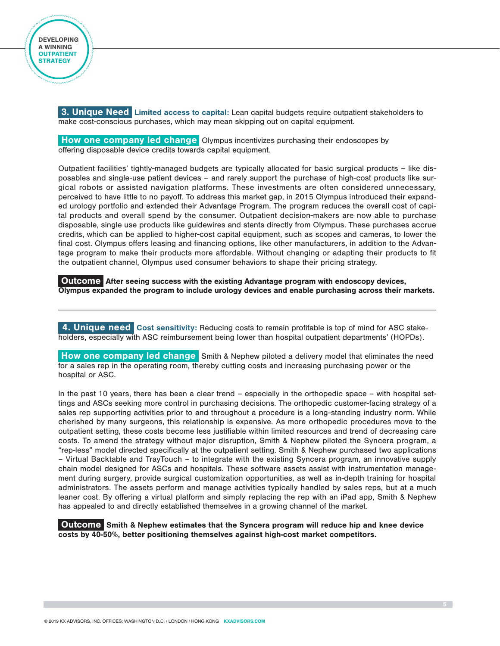**3. Unique Need Limited access to capital:** Lean capital budgets require outpatient stakeholders to make cost-conscious purchases, which may mean skipping out on capital equipment.

How one company led change Olympus incentivizes purchasing their endoscopes by offering disposable device credits towards capital equipment.

Outpatient facilities' tightly-managed budgets are typically allocated for basic surgical products – like disposables and single-use patient devices – and rarely support the purchase of high-cost products like surgical robots or assisted navigation platforms. These investments are often considered unnecessary, perceived to have little to no payoff. To address this market gap, in 2015 Olympus introduced their expanded urology portfolio and extended their Advantage Program. The program reduces the overall cost of capital products and overall spend by the consumer. Outpatient decision-makers are now able to purchase disposable, single use products like guidewires and stents directly from Olympus. These purchases accrue credits, which can be applied to higher-cost capital equipment, such as scopes and cameras, to lower the final cost. Olympus offers leasing and financing options, like other manufacturers, in addition to the Advantage program to make their products more affordable. Without changing or adapting their products to fit the outpatient channel, Olympus used consumer behaviors to shape their pricing strategy.

Outcome After seeing success with the existing Advantage program with endoscopy devices, Olympus expanded the program to include urology devices and enable purchasing across their markets.

4. Unique need Cost sensitivity: Reducing costs to remain profitable is top of mind for ASC stakeholders, especially with ASC reimbursement being lower than hospital outpatient departments' (HOPDs).

**How one company led change** Smith & Nephew piloted a delivery model that eliminates the need for a sales rep in the operating room, thereby cutting costs and increasing purchasing power or the hospital or ASC.

In the past 10 years, there has been a clear trend – especially in the orthopedic space – with hospital settings and ASCs seeking more control in purchasing decisions. The orthopedic customer-facing strategy of a sales rep supporting activities prior to and throughout a procedure is a long-standing industry norm. While cherished by many surgeons, this relationship is expensive. As more orthopedic procedures move to the outpatient setting, these costs become less justifiable within limited resources and trend of decreasing care costs. To amend the strategy without major disruption, Smith & Nephew piloted the Syncera program, a "rep-less" model directed specifically at the outpatient setting. Smith & Nephew purchased two applications – Virtual Backtable and TrayTouch – to integrate with the existing Syncera program, an innovative supply chain model designed for ASCs and hospitals. These software assets assist with instrumentation management during surgery, provide surgical customization opportunities, as well as in-depth training for hospital administrators. The assets perform and manage activities typically handled by sales reps, but at a much leaner cost. By offering a virtual platform and simply replacing the rep with an iPad app, Smith & Nephew has appealed to and directly established themselves in a growing channel of the market.

Outcome Smith & Nephew estimates that the Syncera program will reduce hip and knee device costs by 40-50%, better positioning themselves against high-cost market competitors.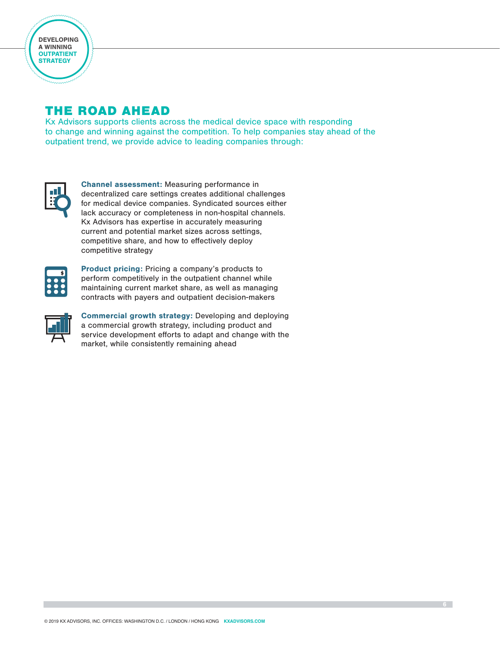

### THE ROAD AHEAD

Kx Advisors supports clients across the medical device space with responding to change and winning against the competition. To help companies stay ahead of the outpatient trend, we provide advice to leading companies through:



Channel assessment: Measuring performance in decentralized care settings creates additional challenges for medical device companies. Syndicated sources either lack accuracy or completeness in non-hospital channels. Kx Advisors has expertise in accurately measuring current and potential market sizes across settings, competitive share, and how to effectively deploy competitive strategy



Product pricing: Pricing a company's products to perform competitively in the outpatient channel while maintaining current market share, as well as managing contracts with payers and outpatient decision-makers



Commercial growth strategy: Developing and deploying a commercial growth strategy, including product and service development efforts to adapt and change with the market, while consistently remaining ahead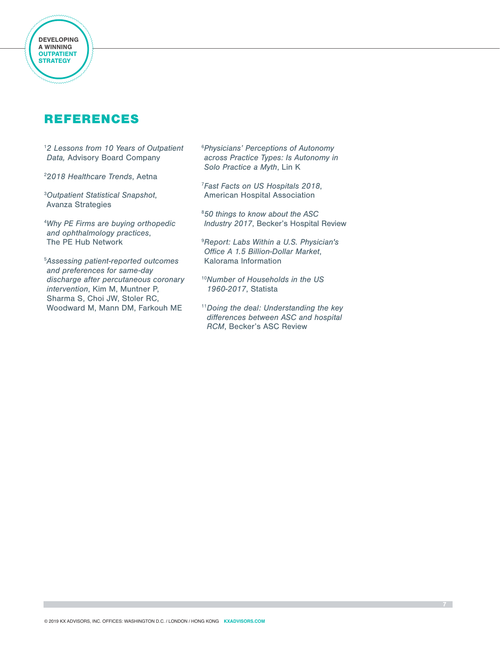

Developing DEVELOPING a Winning A WINNING Outpatient OUTPATIENT **STRATEGY** 

> 1 *2 Lessons from 10 Years of Outpatient Data,* Advisory Board Company

2 2*018 Healthcare Trends*, Aetna

3 *Outpatient Statistical Snapshot*, Avanza Strategies

4 *Why PE Firms are buying orthopedic and ophthalmology practices*, The PE Hub Network

5 *Assessing patient-reported outcomes and preferences for same-day discharge after percutaneous coronary intervention*, [Kim M,](https://www.ncbi.nlm.nih.gov/pubmed/?term=Kim M%5BAuthor%5D&cauthor=true&cauthor_uid=23481528) [Muntner P](https://www.ncbi.nlm.nih.gov/pubmed/?term=Muntner P%5BAuthor%5D&cauthor=true&cauthor_uid=23481528), [Sharma S,](nih.gov/pubmed/?term=Sharma S%5BAuthor%5D&cauthor=true&cauthor_uid=23481528) [Choi JW,](https://www.ncbi.nlm.nih.gov/pubmed/?term=Choi JW%5BAuthor%5D&cauthor=true&cauthor_uid=23481528) [Stoler RC](https://www.ncbi.nlm.nih.gov/pubmed/?term=Stoler RC%5BAuthor%5D&cauthor=true&cauthor_uid=23481528), [Woodward M,](https://www.ncbi.nlm.nih.gov/pubmed/?term=Woodward M%5BAuthor%5D&cauthor=true&cauthor_uid=23481528) [Mann DM](https://www.ncbi.nlm.nih.gov/pubmed/?term=Mann DM%5BAuthor%5D&cauthor=true&cauthor_uid=23481528), [Farkouh ME](https://www.ncbi.nlm.nih.gov/pubmed/?term=Farkouh ME%5BAuthor%5D&cauthor=true&cauthor_uid=23481528)

6 *Physicians' Perceptions of Autonomy across Practice Types: Is Autonomy in Solo Practice a Myth*, Lin K

7 *Fast Facts on US Hospitals 2018*, American Hospital Association

8 *50 things to know about the ASC Industry 2017*, Becker's Hospital Review

9 *Report: Labs Within a U.S. Physician's Office A 1.5 Billion-Dollar Market*, Kalorama Information

- <sup>10</sup>*Number of Households in the US 1960-2017*, Statista
- <sup>11</sup>*Doing the deal: Understanding the key differences between ASC and hospital RCM*, Becker's ASC Review